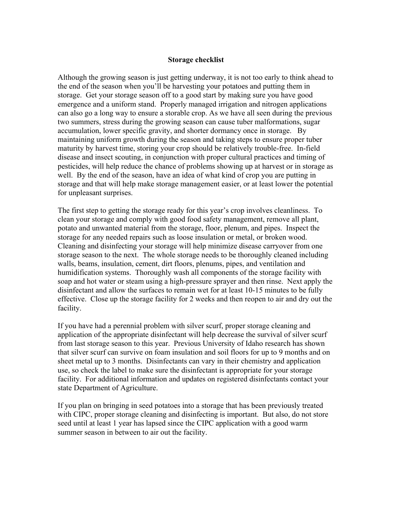## **Storage checklist**

Although the growing season is just getting underway, it is not too early to think ahead to the end of the season when you'll be harvesting your potatoes and putting them in storage. Get your storage season off to a good start by making sure you have good emergence and a uniform stand. Properly managed irrigation and nitrogen applications can also go a long way to ensure a storable crop. As we have all seen during the previous two summers, stress during the growing season can cause tuber malformations, sugar accumulation, lower specific gravity, and shorter dormancy once in storage. By maintaining uniform growth during the season and taking steps to ensure proper tuber maturity by harvest time, storing your crop should be relatively trouble-free. In-field disease and insect scouting, in conjunction with proper cultural practices and timing of pesticides, will help reduce the chance of problems showing up at harvest or in storage as well. By the end of the season, have an idea of what kind of crop you are putting in storage and that will help make storage management easier, or at least lower the potential for unpleasant surprises.

The first step to getting the storage ready for this year's crop involves cleanliness. To clean your storage and comply with good food safety management, remove all plant, potato and unwanted material from the storage, floor, plenum, and pipes. Inspect the storage for any needed repairs such as loose insulation or metal, or broken wood. Cleaning and disinfecting your storage will help minimize disease carryover from one storage season to the next. The whole storage needs to be thoroughly cleaned including walls, beams, insulation, cement, dirt floors, plenums, pipes, and ventilation and humidification systems. Thoroughly wash all components of the storage facility with soap and hot water or steam using a high-pressure sprayer and then rinse. Next apply the disinfectant and allow the surfaces to remain wet for at least 10-15 minutes to be fully effective. Close up the storage facility for 2 weeks and then reopen to air and dry out the facility.

If you have had a perennial problem with silver scurf, proper storage cleaning and application of the appropriate disinfectant will help decrease the survival of silver scurf from last storage season to this year. Previous University of Idaho research has shown that silver scurf can survive on foam insulation and soil floors for up to 9 months and on sheet metal up to 3 months. Disinfectants can vary in their chemistry and application use, so check the label to make sure the disinfectant is appropriate for your storage facility. For additional information and updates on registered disinfectants contact your state Department of Agriculture.

If you plan on bringing in seed potatoes into a storage that has been previously treated with CIPC, proper storage cleaning and disinfecting is important. But also, do not store seed until at least 1 year has lapsed since the CIPC application with a good warm summer season in between to air out the facility.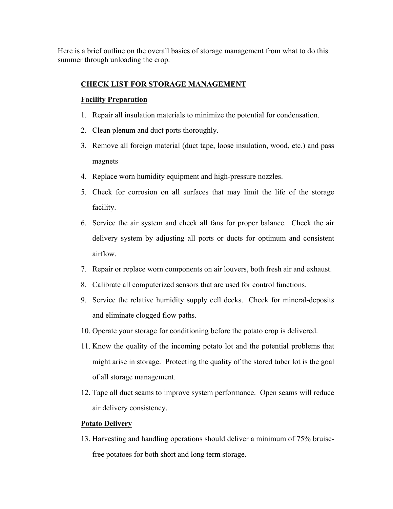Here is a brief outline on the overall basics of storage management from what to do this summer through unloading the crop.

## **CHECK LIST FOR STORAGE MANAGEMENT**

## **Facility Preparation**

- 1. Repair all insulation materials to minimize the potential for condensation.
- 2. Clean plenum and duct ports thoroughly.
- 3. Remove all foreign material (duct tape, loose insulation, wood, etc.) and pass magnets
- 4. Replace worn humidity equipment and high-pressure nozzles.
- 5. Check for corrosion on all surfaces that may limit the life of the storage facility.
- 6. Service the air system and check all fans for proper balance. Check the air delivery system by adjusting all ports or ducts for optimum and consistent airflow.
- 7. Repair or replace worn components on air louvers, both fresh air and exhaust.
- 8. Calibrate all computerized sensors that are used for control functions.
- 9. Service the relative humidity supply cell decks. Check for mineral-deposits and eliminate clogged flow paths.
- 10. Operate your storage for conditioning before the potato crop is delivered.
- 11. Know the quality of the incoming potato lot and the potential problems that might arise in storage. Protecting the quality of the stored tuber lot is the goal of all storage management.
- 12. Tape all duct seams to improve system performance. Open seams will reduce air delivery consistency.

## **Potato Delivery**

13. Harvesting and handling operations should deliver a minimum of 75% bruisefree potatoes for both short and long term storage.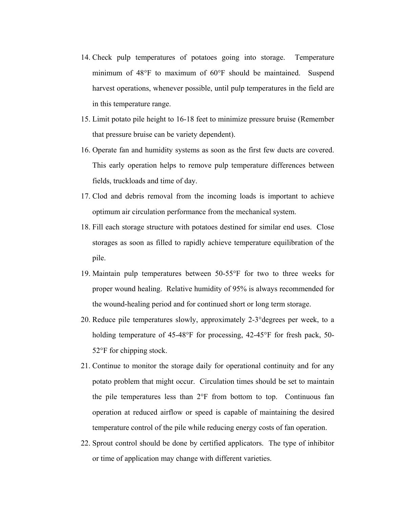- 14. Check pulp temperatures of potatoes going into storage. Temperature minimum of 48°F to maximum of 60°F should be maintained. Suspend harvest operations, whenever possible, until pulp temperatures in the field are in this temperature range.
- 15. Limit potato pile height to 16-18 feet to minimize pressure bruise (Remember that pressure bruise can be variety dependent).
- 16. Operate fan and humidity systems as soon as the first few ducts are covered. This early operation helps to remove pulp temperature differences between fields, truckloads and time of day.
- 17. Clod and debris removal from the incoming loads is important to achieve optimum air circulation performance from the mechanical system.
- 18. Fill each storage structure with potatoes destined for similar end uses. Close storages as soon as filled to rapidly achieve temperature equilibration of the pile.
- 19. Maintain pulp temperatures between 50-55°F for two to three weeks for proper wound healing. Relative humidity of 95% is always recommended for the wound-healing period and for continued short or long term storage.
- 20. Reduce pile temperatures slowly, approximately 2-3°degrees per week, to a holding temperature of 45-48°F for processing, 42-45°F for fresh pack, 50-52°F for chipping stock.
- 21. Continue to monitor the storage daily for operational continuity and for any potato problem that might occur. Circulation times should be set to maintain the pile temperatures less than 2°F from bottom to top. Continuous fan operation at reduced airflow or speed is capable of maintaining the desired temperature control of the pile while reducing energy costs of fan operation.
- 22. Sprout control should be done by certified applicators. The type of inhibitor or time of application may change with different varieties.